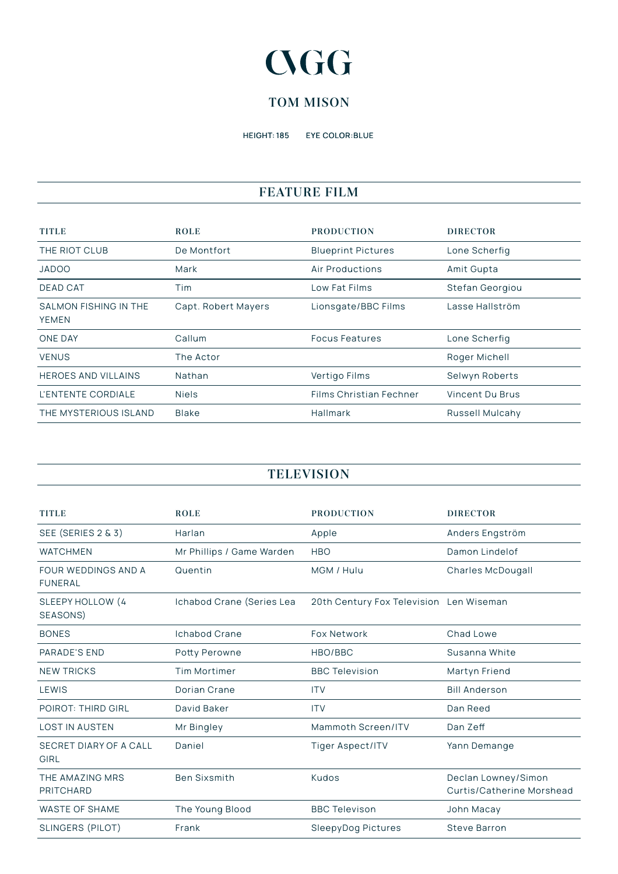# **CGG**

## **TOM MISON**

HEIGHT: 185 EYE COLOR:BLUE

## **FEATURE FILM**

| <b>TITLE</b>                          | <b>ROLE</b>         | <b>PRODUCTION</b>              | <b>DIRECTOR</b> |
|---------------------------------------|---------------------|--------------------------------|-----------------|
| THE RIOT CLUB                         | De Montfort         | <b>Blueprint Pictures</b>      | Lone Scherfig   |
| <b>JADOO</b>                          | Mark                | Air Productions                | Amit Gupta      |
| <b>DEAD CAT</b>                       | Tim                 | Low Fat Films                  | Stefan Georgiou |
| SALMON FISHING IN THE<br><b>YEMEN</b> | Capt. Robert Mayers | Lionsgate/BBC Films            | Lasse Hallström |
| <b>ONE DAY</b>                        | Callum              | <b>Focus Features</b>          | Lone Scherfig   |
| <b>VENUS</b>                          | The Actor           |                                | Roger Michell   |
| <b>HEROES AND VILLAINS</b>            | Nathan              | Vertigo Films                  | Selwyn Roberts  |
| L'ENTENTE CORDIALE                    | <b>Niels</b>        | <b>Films Christian Fechner</b> | Vincent Du Brus |
| THE MYSTERIOUS ISLAND                 | <b>Blake</b>        | Hallmark                       | Russell Mulcahy |

#### **TELEVISION**

| <b>TITLE</b>                                 | <b>ROLE</b>               | <b>PRODUCTION</b>                       | <b>DIRECTOR</b>                                  |
|----------------------------------------------|---------------------------|-----------------------------------------|--------------------------------------------------|
| SEE (SERIES 2 & 3)                           | Harlan                    | Apple                                   | Anders Engström                                  |
| <b>WATCHMEN</b>                              | Mr Phillips / Game Warden | <b>HBO</b>                              | Damon Lindelof                                   |
| <b>FOUR WEDDINGS AND A</b><br><b>FUNERAL</b> | Quentin                   | MGM / Hulu                              | Charles McDougall                                |
| SLEEPY HOLLOW (4<br>SEASONS)                 | Ichabod Crane (Series Lea | 20th Century Fox Television Len Wiseman |                                                  |
| <b>BONES</b>                                 | <b>Ichabod Crane</b>      | <b>Fox Network</b>                      | Chad Lowe                                        |
| PARADE'S END                                 | Potty Perowne             | HBO/BBC                                 | Susanna White                                    |
| <b>NEW TRICKS</b>                            | <b>Tim Mortimer</b>       | <b>BBC Television</b>                   | Martyn Friend                                    |
| LEWIS                                        | Dorian Crane              | <b>ITV</b>                              | <b>Bill Anderson</b>                             |
| <b>POIROT: THIRD GIRL</b>                    | David Baker               | <b>ITV</b>                              | Dan Reed                                         |
| <b>LOST IN AUSTEN</b>                        | Mr Bingley                | Mammoth Screen/ITV                      | Dan Zeff                                         |
| SECRET DIARY OF A CALL<br>GIRL               | Daniel                    | Tiger Aspect/ITV                        | Yann Demange                                     |
| THE AMAZING MRS<br><b>PRITCHARD</b>          | <b>Ben Sixsmith</b>       | Kudos                                   | Declan Lowney/Simon<br>Curtis/Catherine Morshead |
| <b>WASTE OF SHAME</b>                        | The Young Blood           | <b>BBC Televison</b>                    | John Macay                                       |
| SLINGERS (PILOT)                             | Frank                     | SleepyDog Pictures                      | <b>Steve Barron</b>                              |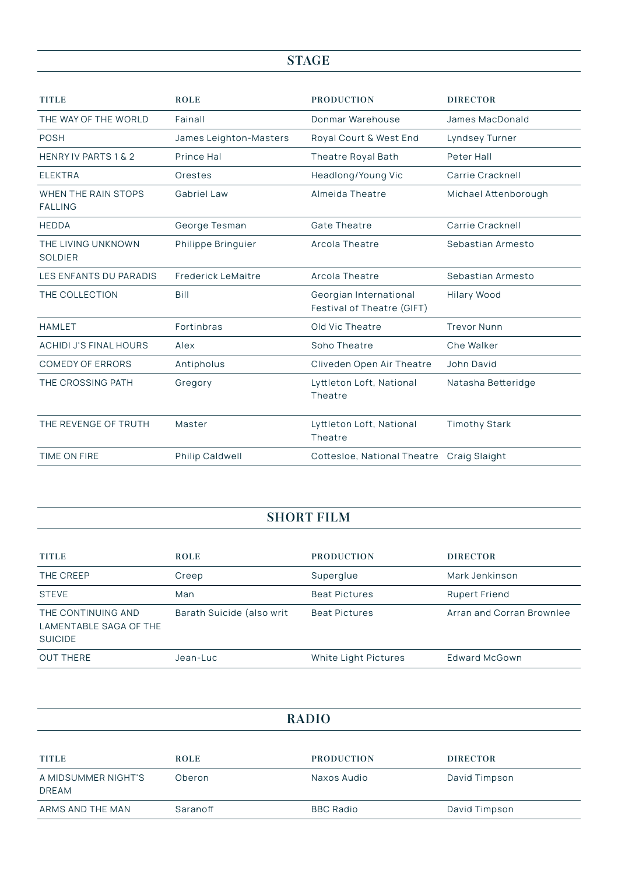# **STAGE**

| <b>TITLE</b>                          | <b>ROLE</b>               | <b>PRODUCTION</b>                                    | <b>DIRECTOR</b>      |
|---------------------------------------|---------------------------|------------------------------------------------------|----------------------|
| THE WAY OF THE WORLD                  | Fainall                   | Donmar Warehouse                                     | James MacDonald      |
| <b>POSH</b>                           | James Leighton-Masters    | Royal Court & West End                               | Lyndsey Turner       |
| HENRY IV PARTS 1 & 2                  | Prince Hal                | Theatre Royal Bath                                   | Peter Hall           |
| <b>ELEKTRA</b>                        | Orestes                   | Headlong/Young Vic                                   | Carrie Cracknell     |
| WHEN THE RAIN STOPS<br><b>FALLING</b> | <b>Gabriel Law</b>        | Almeida Theatre                                      | Michael Attenborough |
| <b>HEDDA</b>                          | George Tesman             | <b>Gate Theatre</b>                                  | Carrie Cracknell     |
| THE LIVING UNKNOWN<br><b>SOLDIER</b>  | Philippe Bringuier        | Arcola Theatre                                       | Sebastian Armesto    |
| LES ENFANTS DU PARADIS                | <b>Frederick LeMaitre</b> | Arcola Theatre                                       | Sebastian Armesto    |
| THE COLLECTION                        | Bill                      | Georgian International<br>Festival of Theatre (GIFT) | Hilary Wood          |
| <b>HAMLET</b>                         | Fortinbras                | Old Vic Theatre                                      | <b>Trevor Nunn</b>   |
| <b>ACHIDI J'S FINAL HOURS</b>         | Alex                      | Soho Theatre                                         | Che Walker           |
| <b>COMEDY OF ERRORS</b>               | Antipholus                | Cliveden Open Air Theatre                            | John David           |
| THE CROSSING PATH                     | Gregory                   | Lyttleton Loft, National<br>Theatre                  | Natasha Betteridge   |
| THE REVENGE OF TRUTH                  | Master                    | Lyttleton Loft, National<br>Theatre                  | <b>Timothy Stark</b> |
| TIME ON FIRE                          | Philip Caldwell           | Cottesloe, National Theatre Craig Slaight            |                      |

#### **SHORT FILM**

| <b>TITLE</b>                                                   | <b>ROLE</b>               | <b>PRODUCTION</b>    | <b>DIRECTOR</b>           |
|----------------------------------------------------------------|---------------------------|----------------------|---------------------------|
| THE CREEP                                                      | Creep                     | Superglue            | Mark Jenkinson            |
| <b>STEVE</b>                                                   | Man                       | <b>Beat Pictures</b> | <b>Rupert Friend</b>      |
| THE CONTINUING AND<br>LAMENTABLE SAGA OF THE<br><b>SUICIDE</b> | Barath Suicide (also writ | <b>Beat Pictures</b> | Arran and Corran Brownlee |
| <b>OUT THERE</b>                                               | Jean-Luc                  | White Light Pictures | Edward McGown             |

| <b>RADIO</b>                        |             |                   |                 |
|-------------------------------------|-------------|-------------------|-----------------|
|                                     |             |                   |                 |
| <b>TITLE</b>                        | <b>ROLE</b> | <b>PRODUCTION</b> | <b>DIRECTOR</b> |
| A MIDSUMMER NIGHT'S<br><b>DREAM</b> | Oberon      | Naxos Audio       | David Timpson   |
| ARMS AND THE MAN                    | Saranoff    | <b>BBC Radio</b>  | David Timpson   |